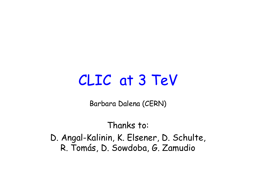## CLIC at 3 TeV

Barbara Dalena (CERN)

Thanks to: D. Angal-Kalinin, K. Elsener, D. Schulte, R. Tomás, D. Sowdoba, G. Zamudio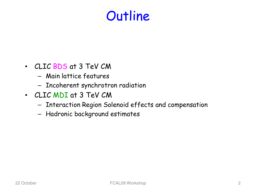## **Outline**

- CLIC BDS at 3 TeV CM
	- Main lattice features
	- Incoherent synchrotron radiation
- CLIC MDI at 3 TeV CM
	- Interaction Region Solenoid effects and compensation
	- Hadronic background estimates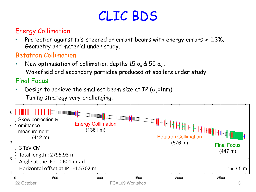## CLIC BDS

#### Energy Collimation

• Protection against mis-steered or errant beams with energy errors **>** 1.3**%**. Geometry and material under study.

#### Betatron Collimation

• New optimisation of collimation depths 15  $\sigma_{\sf x}$  & 55  $\sigma_{\sf y}$  . Wakefield and secondary particles produced at spoilers under study.

#### Final Focus

Design to achieve the smallest beam size at IP ( $\sigma_{\rm v}$ =1nm). Tuning strategy very challenging.

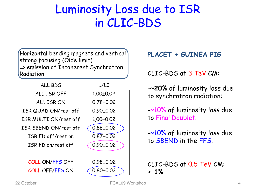#### Luminosity Loss due to ISR in CLIC-BDS

Horizontal bending magnets and vertical strong focusing (Oide limit) ⇒ emission of Incoherent Synchrotron Radiation

| ALL BDS               | L/L0            |
|-----------------------|-----------------|
| ALL ISR OFF           | $1,00+0.02$     |
| ALL ISR ON            | $0,78 \pm 0.02$ |
| ISR QUAD ON/rest off  | $0.90 \pm 0.02$ |
| ISR MULTI ON/rest off | $1,00+0.02$     |
| ISR SBEND ON/rest off | $0,86 \pm 0.02$ |
| ISR FD off/rest on    | $0.87 + 0.02$   |
| ISR FD on/rest off    | $0,90\pm0.02$   |
|                       |                 |
| COLL ON/FFS OFF       | $0.98 \pm 0.02$ |
| COLL OFF/FFS ON       | $0.80 \pm 0.03$ |

#### **PLACET + GUINEA PIG**

CLIC-BDS at 3 TeV CM:

-**~20%** of luminosity loss due to synchrotron radiation:

-~10% of luminosity loss due to Final Doublet.

-~10% of luminosity loss due to SBEND in the FFS.

CLIC-BDS at 0.5 TeV CM: **< 1%**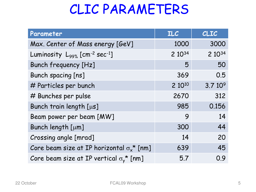## CLIC PARAMETERS

| Parameter                                                         | <b>ILC</b> | <b>CLIC</b>        |
|-------------------------------------------------------------------|------------|--------------------|
| Max. Center of Mass energy [GeV]                                  | 1000       | 3000               |
| Luminosity L <sub>99%</sub> [cm <sup>-2</sup> sec <sup>-1</sup> ] | 2 10 34    | 2 1034             |
| <b>Bunch frequency [Hz]</b>                                       | 5          | 50                 |
| Bunch spacing [ns]                                                | 369        | 0.5                |
| # Particles per bunch                                             | 2 1010     | 3.710 <sup>9</sup> |
| # Bunches per pulse                                               | 2670       | 312                |
| Bunch train length [µs]                                           | 985        | 0.156              |
| Beam power per beam [MW]                                          | 9          | 14                 |
| Bunch length [µm]                                                 | 300        | 44                 |
| Crossing angle [mrad]                                             | 14         | 20                 |
| Core beam size at IP horizontal $\sigma_{x}^*$ [nm]               | 639        | 45                 |
| Core beam size at IP vertical $\sigma_{\mathsf{y}}^{\star}$ [nm]  | 5.7        | 0.9                |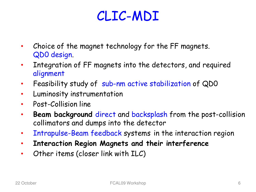## CLIC-MDI

- Choice of the magnet technology for the FF magnets. QD0 design.
- Integration of FF magnets into the detectors, and required alignment
- Feasibility study of sub-nm active stabilization of QDO
- Luminosity instrumentation
- Post-Collision line
- **Beam background** direct and backsplash from the post-collision collimators and dumps into the detector
- Intrapulse-Beam feedback systems in the interaction region
- **Interaction Region Magnets and their interference**
- Other items (closer link with ILC)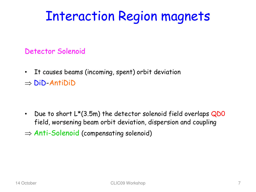## Interaction Region magnets

#### Detector Solenoid

• It causes beams (incoming, spent) orbit deviation ⇒ DiD-AntiDiD

• Due to short  $L^*(3.5m)$  the detector solenoid field overlaps  $QDO$ field, worsening beam orbit deviation, dispersion and coupling  $\Rightarrow$  Anti-Solenoid (compensating solenoid)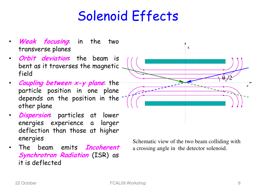## Solenoid Effects

- **Weak focusing**: in the two transverse planes
- **Orbit deviation**: the beam is bent as it traverses the magnetic field
- **Coupling between x-y plane**: the particle position in one plane depends on the position in the other plane
- **Dispersion**: particles at lower energies experience a larger deflection than those at higher energies
- The beam emits **Incoherent Synchrotron Radiation (ISR) as** it is deflected

Schematic view of the two beam colliding with a crossing angle in the detector solenoid.

 $\mathbf{x}$ 

 $\theta_c$ /2

Z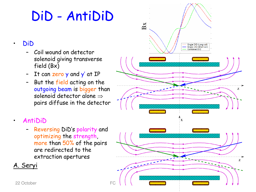## DiD - AntiDiD

#### • DiD

- Coil wound on detector solenoid giving transverse field (Bx)
- It can zero y and y' at IP
- But the field acting on the outgoing beam is bigger than solenoid detector alone  $\Rightarrow$ pairs diffuse in the detector

#### • AntiDiD

– Reversing DiD's polarity and optimizing the strength, more than 50% of the pairs are redirected to the extraction apertures

#### A. Seryi

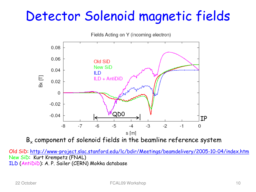## Detector Solenoid magnetic fields



 $B<sub>x</sub>$  component of solenoid fields in the beamline reference system

Old SiD: http://www-project.slac.stanford.edu/lc/bdir/Meetings/beamdelivery/2005-10-04/index.htm New SiD: Kurt Krempetz (FNAL) ILD (AntiDiD): A. P. Sailer (CERN) Mokka database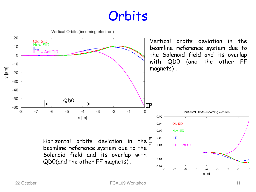### **Orbits**

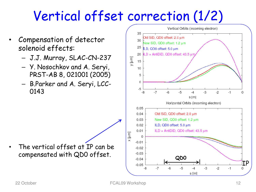## Vertical offset correction (1/2)

- Compensation of detector solenoid effects:
	- J.J. Murray, SLAC-CN-237
	- Y. Nosochkov and A. Seryi, PRST-AB 8, 021001 (2005)
	- B.Parker and A. Seryi, LCC-0143



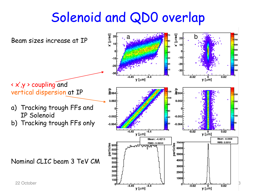## Solenoid and QD0 overlap

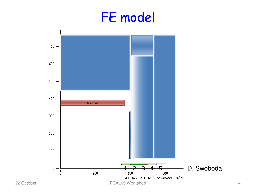## FE model

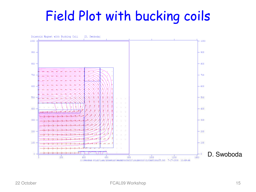## Field Plot with bucking coils

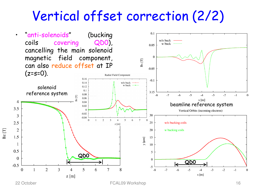### Vertical offset correction (2/2)



 $Bz$  [T]

22 October FCAL09 Workshop 16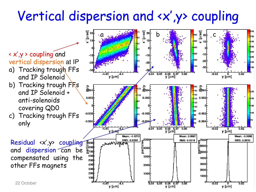## Vertical dispersion and <x',y> coupling

700 lsoo 500

400

 $\vert$ 300 $\vert$ 

200

200

150

100

a b c **L**ADD < x',y > coupling and  $-10$ vertical dispersion at IP 200 l20  $-20$ 100 a) Tracking trough FFs  $0.04$   $0.05$   $0.06$   $0.07$   $0.08$  $0.02$  $-4.4$  $-0.02$ and IP Solenoid y [um]  $y$ [µm]  $y$  [ $\mu$ m] b) Tracking trough FFs  $\frac{6}{2004}$ ය<br>ලිංග4  $\sum_{\alpha=1}^{\infty}$ 120 180 and IP Solenoid + 160 10O 0.002 0.002 0.002 i 40 anti-solenoids i 20 covering QD0 i nn  $-0.002$  $-0.002$  $-0.002$ c) Tracking trough FFs  $-0.004$  $-0.00$  $-0.00$ only  $-4.45$  $0.04$  $0.05$   $0.06$   $0.07$  $0.08$  $-0.02$  $0.02$ .<br><del>[الم</del>يل  $y$  [ $\mu$ m] ี y [µm] Mean: 4.4213 Mean: 0.0687 Mean: -0.0000 <sup>3</sup>၂<br>ဖွ<sup>5000</sup>ြု | <sub>စွ</sub>ာ၀၀၀<del>|</del> RMS: 0.0288 RMS: 0.0015 RMS: 0.0010 Residual <x',y> coupling  $\frac{8}{5}$   $\frac{1}{5}$   $\frac{1}{5}$   $\frac{1}{5}$   $\frac{1}{5}$   $\frac{1}{5}$   $\frac{1}{5}$   $\frac{1}{5}$   $\frac{1}{5}$   $\frac{1}{5}$   $\frac{1}{5}$   $\frac{1}{5}$   $\frac{1}{5}$   $\frac{1}{5}$   $\frac{1}{5}$   $\frac{1}{5}$   $\frac{1}{5}$   $\frac{1}{5}$   $\frac{1}{5}$   $\frac{1}{5}$   $\frac{1}{5}$   $\frac{1}{5}$  <sub>⊩™</sub>™₩™™ 군<br>1년4000<br>D မြစ်တို and dispersion can be  $\frac{1}{20}$ **R5000** compensated using the 600l 3000 4000 500E other FFs magnets3000 400F **2000** 300E 2000 200E 1000F 1000 100E 22 October **Face Construction of the Construction of the Construction** of the Construction of the Construction of the Construction of the Construction of the Construction of the Construction of the Construction of the Cons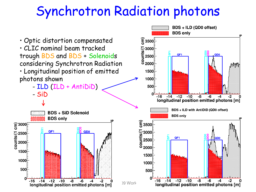## Synchrotron Radiation photons

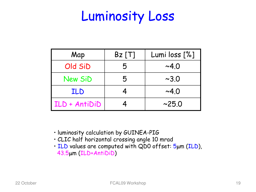### Luminosity Loss

| Map            | $Bz$ [T] | Lumi loss [%] |
|----------------|----------|---------------|
| Old SiD        | 5        | $~\sim$ 4.0   |
| <b>New SiD</b> | 5        | $\sim 3.0$    |
| ILD            |          | $~\sim$ 4.0   |
| ILD + AntiDiD  |          | ~25.0         |

- luminosity calculation by GUINEA-PIG
- CLIC half horizontal crossing angle 10 mrad
- ILD values are computed with QD0 offset: 5µm (ILD), 43.5µm (ILD+AntiDiD)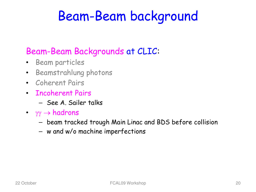## Beam-Beam background

#### Beam-Beam Backgrounds at CLIC:

- Beam particles
- Beamstrahlung photons
- Coherent Pairs
- Incoherent Pairs
	- See A. Sailer talks
- $\gamma\gamma \rightarrow$  hadrons
	- beam tracked trough Main Linac and BDS before collision
	- w and w/o machine imperfections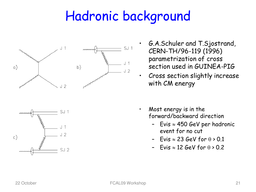## Hadronic background





- G.A.Schuler and T.Sjostrand, CERN-TH/96-119 (1996) parametrization of cross section used in GUINEA-PIG
- Cross section slightly increase with CM energy
- Most energy is in the forward/backward direction
	- Evis ≈ 450 GeV per hadronic event for no cut
	- Evis  $\approx$  23 GeV for  $\theta$  > 0.1
	- Evis  $\approx$  12 GeV for  $\theta$  > 0.2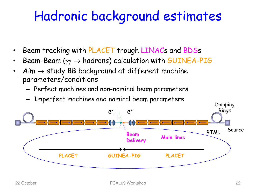## Hadronic Hadronic background estimates

- Beam tracking with PLACET trough LINACs and BDSs
- Beam-Beam ( $\gamma\gamma \rightarrow$  hadrons) calculation with GUINEA-PIG
- $A$ im  $\rightarrow$  study BB background at different machine parameters/conditions
	- Perfect machines and non-nominal beam parameters
	- Imperfect machines and nominal beam parameters

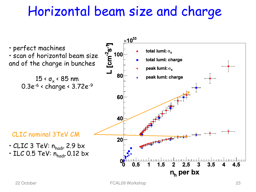## Horizontal beam size and charge

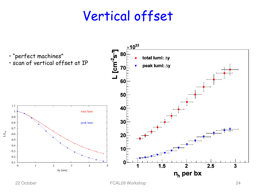### Vertical offset

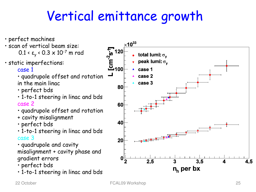## Vertical emittance growth

- perfect machines
- scan of vertical beam size: 0.1 < ε<sub>y</sub> < 0.3 × 10<sup>-7</sup> m rad
- static imperfections:

case 1

- quadrupole offset and rotation in the main linac
- perfect bds
- 1-to-1 steering in linac and bds case 2
- quadrupole offset and rotation
- + cavity misalignment
- perfect bds
- 1-to-1 steering in linac and bds case 3
- quadrupole and cavity misalignment + cavity phase and gradient errors
- perfect bds
- 1-to-1 steering in linac and bds

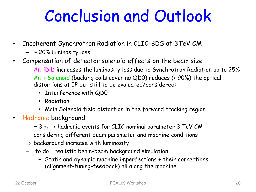# Conclusion and Outlook

- Incoherent Synchrotron Radiation in CLIC-BDS at 3TeV CM
	- ~ 20% luminosity loss
- Compensation of detector solenoid effects on the beam size
	- AntiDiD increases the luminosity loss due to Synchrotron Radiation up to 25%
	- Anti-Solenoid (bucking coils covering QD0) reduces (> 90%) the optical distortions at IP but still to be evaluated/considered:
		- Interference with QD0
		- Radiation
		- Main Solenoid field distortion in the forward tracking region
- Hadronic background
	- $-$  ~ 3  $\gamma\gamma$   $\rightarrow$  hadronic events for CLIC nominal parameter 3 TeV CM
	- considering different beam parameter and machine conditions
	- $\Rightarrow$  background increase with luminosity
	- − to do… realistic beam-beam background simulation
		- Static and dynamic machine imperfections + their corrections (alignment-tuning-feedback) all along the machine